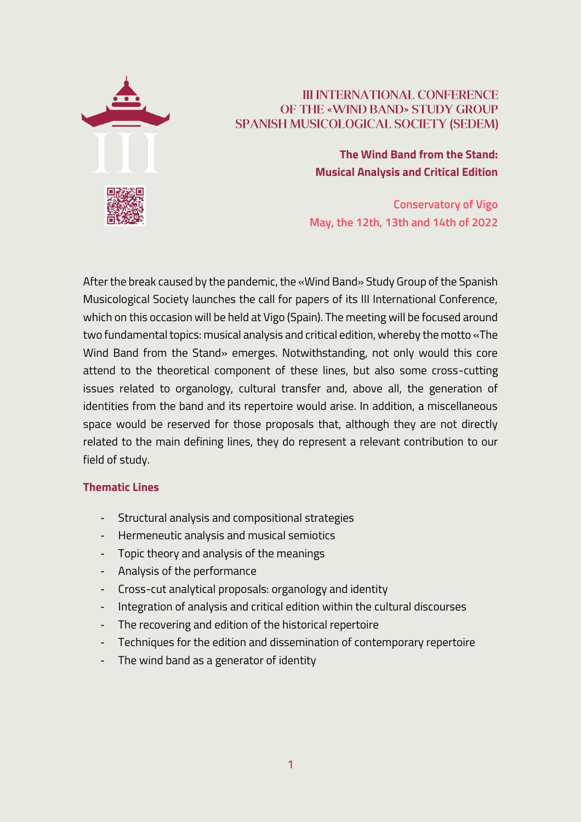

# **III INTERNATIONAL CONFERENCE** OF THE «WIND BAND» STUDY GROUP SPANISH MUSICOLOGICAL SOCIETY (SEDEM)

**The Wind Band from the Stand: Musical Analysis and Critical Edition**

**Conservatory of Vigo May, the 12th, 13th and 14th of 2022**

After the break caused by the pandemic, the «Wind Band» Study Group of the Spanish Musicological Society launches the call for papers of its III International Conference, which on this occasion will be held at Vigo (Spain). The meeting will be focused around two fundamental topics: musical analysis and critical edition, whereby the motto «The Wind Band from the Stand» emerges. Notwithstanding, not only would this core attend to the theoretical component of these lines, but also some cross-cutting issues related to organology, cultural transfer and, above all, the generation of identities from the band and its repertoire would arise. In addition, a miscellaneous space would be reserved for those proposals that, although they are not directly related to the main defining lines, they do represent a relevant contribution to our field of study.

## **Thematic Lines**

- Structural analysis and compositional strategies
- Hermeneutic analysis and musical semiotics
- Topic theory and analysis of the meanings
- Analysis of the performance
- Cross-cut analytical proposals: organology and identity
- Integration of analysis and critical edition within the cultural discourses
- The recovering and edition of the historical repertoire
- Techniques for the edition and dissemination of contemporary repertoire
- The wind band as a generator of identity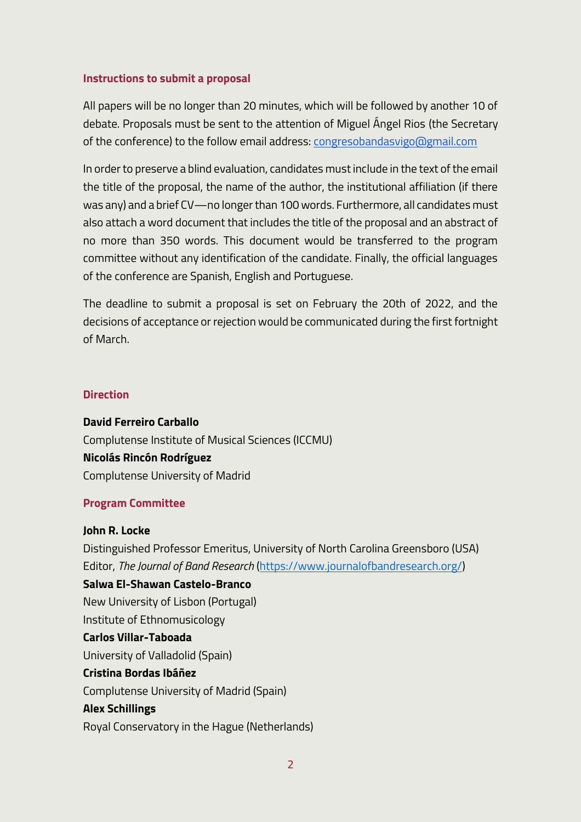#### **Instructions to submit a proposal**

All papers will be no longer than 20 minutes, which will be followed by another 10 of debate. Proposals must be sent to the attention of Miguel Ángel Rios (the Secretary of the conference) to the follow email address: [congresobandasvigo@gmail.com](mailto:congresobandasvigo@gmail.com)

In order to preserve a blind evaluation, candidates must include in the text of the email the title of the proposal, the name of the author, the institutional affiliation (if there was any) and a brief CV—no longer than 100 words. Furthermore, all candidates must also attach a word document that includes the title of the proposal and an abstract of no more than 350 words. This document would be transferred to the program committee without any identification of the candidate. Finally, the official languages of the conference are Spanish, English and Portuguese.

The deadline to submit a proposal is set on February the 20th of 2022, and the decisions of acceptance or rejection would be communicated during the first fortnight of March.

#### **Direction**

**David Ferreiro Carballo** Complutense Institute of Musical Sciences (ICCMU) **Nicolás Rincón Rodríguez** Complutense University of Madrid

## **Program Committee**

## **John R. Locke**

Distinguished Professor Emeritus, University of North Carolina Greensboro (USA) Editor, *The Journal of Band Research* [\(https://www.journalofbandresearch.org/\)](https://www.journalofbandresearch.org/) **Salwa El-Shawan Castelo-Branco** New University of Lisbon (Portugal) Institute of Ethnomusicology **Carlos Villar-Taboada** University of Valladolid (Spain)

## **Cristina Bordas Ibáñez**

Complutense University of Madrid (Spain)

## **Alex Schillings**

Royal Conservatory in the Hague (Netherlands)